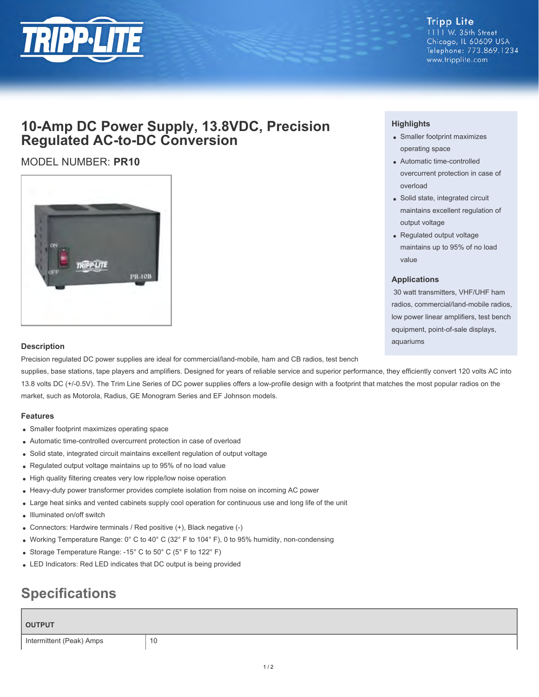

# **10-Amp DC Power Supply, 13.8VDC, Precision Regulated AC-to-DC Conversion**

## MODEL NUMBER: **PR10**



### **Highlights**

- Smaller footprint maximizes operating space
- Automatic time-controlled overcurrent protection in case of overload
- Solid state, integrated circuit maintains excellent regulation of output voltage
- Regulated output voltage maintains up to 95% of no load value

#### **Applications**

 30 watt transmitters, VHF/UHF ham radios, commercial/land-mobile radios, low power linear amplifiers, test bench equipment, point-of-sale displays, aquariums

#### **Description**

Precision regulated DC power supplies are ideal for commercial/land-mobile, ham and CB radios, test bench

supplies, base stations, tape players and amplifiers. Designed for years of reliable service and superior performance, they efficiently convert 120 volts AC into 13.8 volts DC (+/-0.5V). The Trim Line Series of DC power supplies offers a low-profile design with a footprint that matches the most popular radios on the market, such as Motorola, Radius, GE Monogram Series and EF Johnson models.

#### **Features**

- Smaller footprint maximizes operating space
- Automatic time-controlled overcurrent protection in case of overload
- Solid state, integrated circuit maintains excellent regulation of output voltage
- Regulated output voltage maintains up to 95% of no load value
- High quality filtering creates very low ripple/low noise operation
- Heavy-duty power transformer provides complete isolation from noise on incoming AC power
- Large heat sinks and vented cabinets supply cool operation for continuous use and long life of the unit
- Illuminated on/off switch
- Connectors: Hardwire terminals / Red positive (+), Black negative (-)
- Working Temperature Range:  $0^{\circ}$  C to 40° C (32° F to 104° F), 0 to 95% humidity, non-condensing
- Storage Temperature Range: -15° C to 50° C (5° F to 122° F)
- LED Indicators: Red LED indicates that DC output is being provided

# **Specifications**

| <b>OUTPUT</b>            |    |
|--------------------------|----|
| Intermittent (Peak) Amps | 10 |